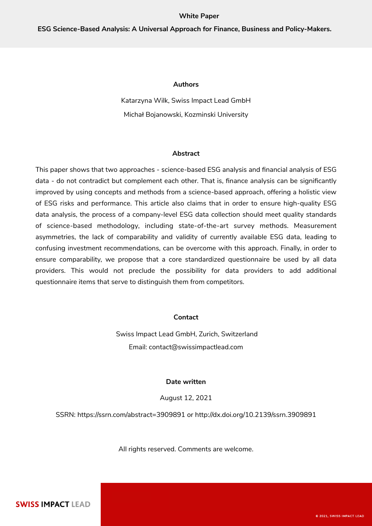#### **White Paper**

#### **Authors**

Katarzyna Wilk, Swiss Impact Lead GmbH Michał Bojanowski, Kozminski University

### **Abstract**

This paper shows that two approaches - science-based ESG analysis and financial analysis of ESG data - do not contradict but complement each other. That is, finance analysis can be significantly improved by using concepts and methods from a science-based approach, offering a holistic view of ESG risks and performance. This article also claims that in order to ensure high-quality ESG data analysis, the process of a company-level ESG data collection should meet quality standards of science-based methodology, including state-of-the-art survey methods. Measurement asymmetries, the lack of comparability and validity of currently available ESG data, leading to confusing investment recommendations, can be overcome with this approach. Finally, in order to ensure comparability, we propose that a core standardized questionnaire be used by all data providers. This would not preclude the possibility for data providers to add additional questionnaire items that serve to distinguish them from competitors.

## **Contact**

 Swiss Impact Lead GmbH, Zurich, Switzerland Email: [contact@swissimpactlead.com](mailto:contact@swissimactlead.com)

## **Date written**

August 12, 2021

SSRN: <https://ssrn.com/abstract=3909891> or [http://dx.doi.org/10.2139/ssrn.3909891](https://dx.doi.org/10.2139/ssrn.3909891)

All rights reserved. Comments are welcome.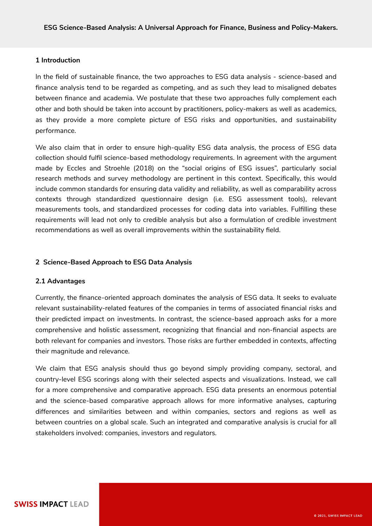## **1 Introduction**

In the field of sustainable finance, the two approaches to ESG data analysis - science-based and finance analysis tend to be regarded as competing, and as such they lead to misaligned debates between finance and academia. We postulate that these two approaches fully complement each other and both should be taken into account by practitioners, policy-makers as well as academics, as they provide a more complete picture of ESG risks and opportunities, and sustainability performance.

We also claim that in order to ensure high-quality ESG data analysis, the process of ESG data collection should fulfil science-based methodology requirements. In agreement with the argument made by Eccles and Stroehle (2018) on the "social origins of ESG issues", particularly social research methods and survey methodology are pertinent in this context. Specifically, this would include common standards for ensuring data validity and reliability, as well as comparability across contexts through standardized questionnaire design (i.e. ESG assessment tools), relevant measurements tools, and standardized processes for coding data into variables. Fulfilling these requirements will lead not only to credible analysis but also a formulation of credible investment recommendations as well as overall improvements within the sustainability field.

# **2 Science-Based Approach to ESG Data Analysis**

# **2.1 Advantages**

Currently, the finance-oriented approach dominates the analysis of ESG data. It seeks to evaluate relevant sustainability-related features of the companies in terms of associated financial risks and their predicted impact on investments. In contrast, the science-based approach asks for a more comprehensive and holistic assessment, recognizing that financial and non-financial aspects are both relevant for companies and investors. Those risks are further embedded in contexts, affecting their magnitude and relevance.

We claim that ESG analysis should thus go beyond simply providing company, sectoral, and country-level ESG scorings along with their selected aspects and visualizations. Instead, we call for a more comprehensive and comparative approach. ESG data presents an enormous potential and the science-based comparative approach allows for more informative analyses, capturing differences and similarities between and within companies, sectors and regions as well as between countries on a global scale. Such an integrated and comparative analysis is crucial for all stakeholders involved: companies, investors and regulators.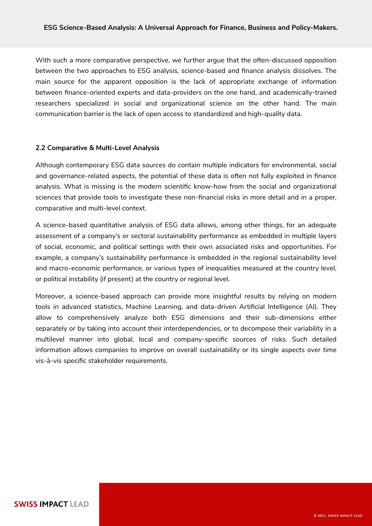With such a more comparative perspective, we further argue that the often-discussed opposition between the two approaches to ESG analysis, science-based and finance analysis dissolves. The main source for the apparent opposition is the lack of appropriate exchange of information between finance-oriented experts and data-providers on the one hand, and academically-trained researchers specialized in social and organizational science on the other hand. The main communication barrier is the lack of open access to standardized and high-quality data.

# **2.2 Comparative & Multi-Level Analysis**

Although contemporary ESG data sources do contain multiple indicators for environmental, social and governance-related aspects, the potential of these data is often not fully exploited in finance analysis. What is missing is the modern scientific know-how from the social and organizational sciences that provide tools to investigate these non-financial risks in more detail and in a proper, comparative and multi-level context.

A science-based quantitative analysis of ESG data allows, among other things, for an adequate assessment of a company's or sectoral sustainability performance as embedded in multiple layers of social, economic, and political settings with their own associated risks and opportunities. For example, a company's sustainability performance is embedded in the regional sustainability level and macro-economic performance, or various types of inequalities measured at the country level, or political instability (if present) at the country or regional level.

Moreover, a science-based approach can provide more insightful results by relying on modern tools in advanced statistics, Machine Learning, and data-driven Artificial Intelligence (AI). They allow to comprehensively analyze both ESG dimensions and their sub-dimensions either separately or by taking into account their interdependencies, or to decompose their variability in a multilevel manner into global, local and company-specific sources of risks. Such detailed information allows companies to improve on overall sustainability or its single aspects over time vis-à-vis specific stakeholder requirements.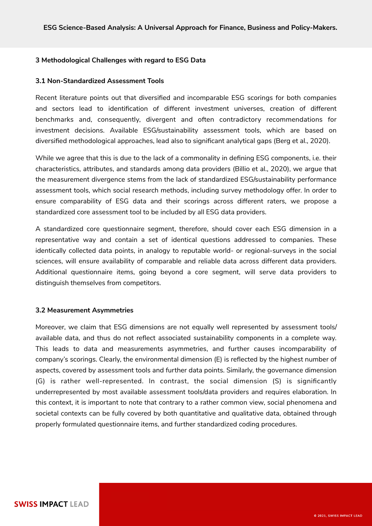# **3 Methodological Challenges with regard to ESG Data**

## **3.1 Non-Standardized Assessment Tools**

Recent literature points out that diversified and incomparable ESG scorings for both companies and sectors lead to identification of different investment universes, creation of different benchmarks and, consequently, divergent and often contradictory recommendations for investment decisions. Available ESG/sustainability assessment tools, which are based on diversified methodological approaches, lead also to significant analytical gaps (Berg et al., 2020).

While we agree that this is due to the lack of a commonality in defining ESG components, i.e. their characteristics, attributes, and standards among data providers (Billio et al., 2020), we argue that the measurement divergence stems from the lack of standardized ESG/sustainability performance assessment tools, which social research methods, including survey methodology offer. In order to ensure comparability of ESG data and their scorings across different raters, we propose a standardized core assessment tool to be included by all ESG data providers.

A standardized core questionnaire segment, therefore, should cover each ESG dimension in a representative way and contain a set of identical questions addressed to companies. These identically collected data points, in analogy to reputable world- or regional-surveys in the social sciences, will ensure availability of comparable and reliable data across different data providers. Additional questionnaire items, going beyond a core segment, will serve data providers to distinguish themselves from competitors.

#### **3.2 Measurement Asymmetries**

Moreover, we claim that ESG dimensions are not equally well represented by assessment tools/ available data, and thus do not reflect associated sustainability components in a complete way. This leads to data and measurements asymmetries, and further causes incomparability of company's scorings. Clearly, the environmental dimension (E) is reflected by the highest number of aspects, covered by assessment tools and further data points. Similarly, the governance dimension (G) is rather well-represented. In contrast, the social dimension (S) is significantly underrepresented by most available assessment tools/data providers and requires elaboration. In this context, it is important to note that contrary to a rather common view, social phenomena and societal contexts can be fully covered by both quantitative and qualitative data, obtained through properly formulated questionnaire items, and further standardized coding procedures.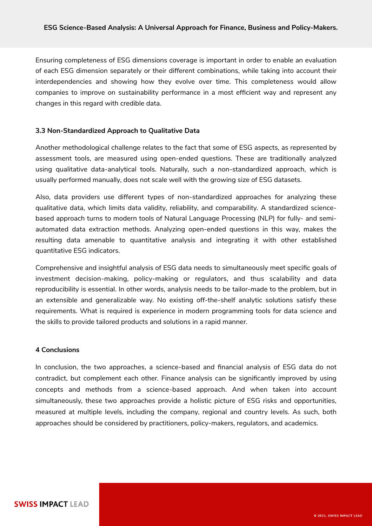Ensuring completeness of ESG dimensions coverage is important in order to enable an evaluation of each ESG dimension separately or their different combinations, while taking into account their interdependencies and showing how they evolve over time. This completeness would allow companies to improve on sustainability performance in a most efficient way and represent any changes in this regard with credible data.

### **3.3 Non-Standardized Approach to Qualitative Data**

Another methodological challenge relates to the fact that some of ESG aspects, as represented by assessment tools, are measured using open-ended questions. These are traditionally analyzed using qualitative data-analytical tools. Naturally, such a non-standardized approach, which is usually performed manually, does not scale well with the growing size of ESG datasets.

Also, data providers use different types of non-standardized approaches for analyzing these qualitative data, which limits data validity, reliability, and comparability. A standardized sciencebased approach turns to modern tools of Natural Language Processing (NLP) for fully- and semiautomated data extraction methods. Analyzing open-ended questions in this way, makes the resulting data amenable to quantitative analysis and integrating it with other established quantitative ESG indicators.

Comprehensive and insightful analysis of ESG data needs to simultaneously meet specific goals of investment decision-making, policy-making or regulators, and thus scalability and data reproducibility is essential. In other words, analysis needs to be tailor-made to the problem, but in an extensible and generalizable way. No existing off-the-shelf analytic solutions satisfy these requirements. What is required is experience in modern programming tools for data science and the skills to provide tailored products and solutions in a rapid manner.

### **4 Conclusions**

In conclusion, the two approaches, a science-based and financial analysis of ESG data do not contradict, but complement each other. Finance analysis can be significantly improved by using concepts and methods from a science-based approach. And when taken into account simultaneously, these two approaches provide a holistic picture of ESG risks and opportunities, measured at multiple levels, including the company, regional and country levels. As such, both approaches should be considered by practitioners, policy-makers, regulators, and academics.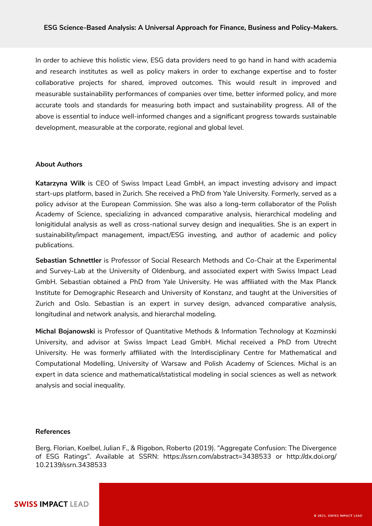In order to achieve this holistic view, ESG data providers need to go hand in hand with academia and research institutes as well as policy makers in order to exchange expertise and to foster collaborative projects for shared, improved outcomes. This would result in improved and measurable sustainability performances of companies over time, better informed policy, and more accurate tools and standards for measuring both impact and sustainability progress. All of the above is essential to induce well-informed changes and a significant progress towards sustainable development, measurable at the corporate, regional and global level.

#### **About Authors**

**Katarzyna Wilk** is CEO of Swiss Impact Lead GmbH, an impact investing advisory and impact start-ups platform, based in Zurich. She received a PhD from Yale University. Formerly, served as a policy advisor at the European Commission. She was also a long-term collaborator of the Polish Academy of Science, specializing in advanced comparative analysis, hierarchical modeling and lonigitidulal analysis as well as cross-national survey design and inequalities. She is an expert in sustainability/impact management, impact/ESG investing, and author of academic and policy publications.

**Sebastian Schnettler** is Professor of Social Research Methods and Co-Chair at the Experimental and Survey-Lab at the University of Oldenburg, and associated expert with Swiss Impact Lead GmbH. Sebastian obtained a PhD from Yale University. He was affiliated with the Max Planck Institute for Demographic Research and University of Konstanz, and taught at the Universities of Zurich and Oslo. Sebastian is an expert in survey design, advanced comparative analysis, longitudinal and network analysis, and hierarchal modeling.

**Michal Bojanowski** is Professor of Quantitative Methods & Information Technology at Kozminski University, and advisor at Swiss Impact Lead GmbH. Michal received a PhD from Utrecht University. He was formerly affiliated with the Interdisciplinary Centre for Mathematical and Computational Modelling, University of Warsaw and Polish Academy of Sciences. Michal is an expert in data science and mathematical/statistical modeling in social sciences as well as network analysis and social inequality.

### **References**

Berg, Florian, Koelbel, Julian F., & Rigobon, Roberto (2019). "Aggregate Confusion: The Divergence of ESG Ratings". Available at SSRN:<https://ssrn.com/abstract=3438533>o[r http://dx.doi.org/](https://dx.doi.org/10.2139/ssrn.3438533) [10.2139/ssrn.3438533](https://dx.doi.org/10.2139/ssrn.3438533)